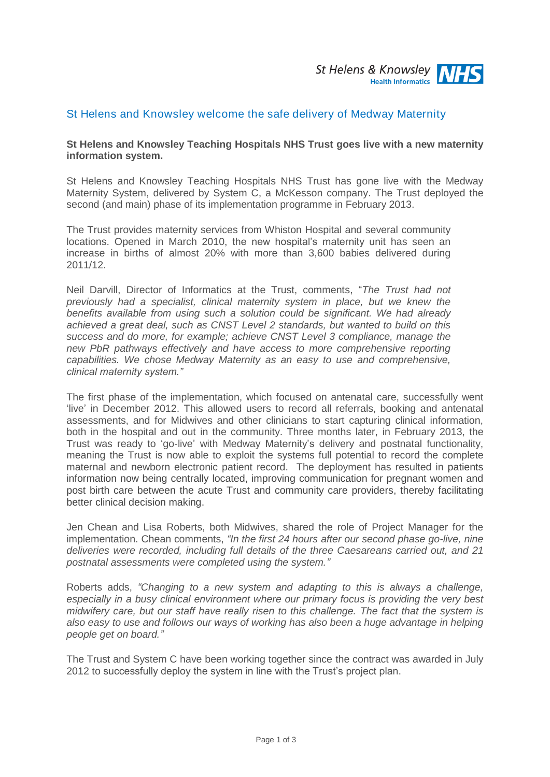

# St Helens and Knowsley welcome the safe delivery of Medway Maternity

#### **St Helens and Knowsley Teaching Hospitals NHS Trust goes live with a new maternity information system.**

St Helens and Knowsley Teaching Hospitals NHS Trust has gone live with the Medway Maternity System, delivered by System C, a McKesson company. The Trust deployed the second (and main) phase of its implementation programme in February 2013.

The Trust provides maternity services from Whiston Hospital and several community locations. Opened in March 2010, the new hospital's maternity unit has seen an increase in births of almost 20% with more than 3,600 babies delivered during 2011/12.

Neil Darvill, Director of Informatics at the Trust, comments, "*The Trust had not previously had a specialist, clinical maternity system in place, but we knew the benefits available from using such a solution could be significant. We had already achieved a great deal, such as CNST Level 2 standards, but wanted to build on this success and do more, for example; achieve CNST Level 3 compliance, manage the new PbR pathways effectively and have access to more comprehensive reporting capabilities. We chose Medway Maternity as an easy to use and comprehensive, clinical maternity system."*

The first phase of the implementation, which focused on antenatal care, successfully went 'live' in December 2012. This allowed users to record all referrals, booking and antenatal assessments, and for Midwives and other clinicians to start capturing clinical information, both in the hospital and out in the community. Three months later, in February 2013, the Trust was ready to 'go-live' with Medway Maternity's delivery and postnatal functionality, meaning the Trust is now able to exploit the systems full potential to record the complete maternal and newborn electronic patient record. The deployment has resulted in patients information now being centrally located, improving communication for pregnant women and post birth care between the acute Trust and community care providers, thereby facilitating better clinical decision making.

Jen Chean and Lisa Roberts, both Midwives, shared the role of Project Manager for the implementation. Chean comments, *"In the first 24 hours after our second phase go-live, nine deliveries were recorded, including full details of the three Caesareans carried out, and 21 postnatal assessments were completed using the system."*

Roberts adds, *"Changing to a new system and adapting to this is always a challenge, especially in a busy clinical environment where our primary focus is providing the very best midwifery care, but our staff have really risen to this challenge. The fact that the system is also easy to use and follows our ways of working has also been a huge advantage in helping people get on board."* 

The Trust and System C have been working together since the contract was awarded in July 2012 to successfully deploy the system in line with the Trust's project plan.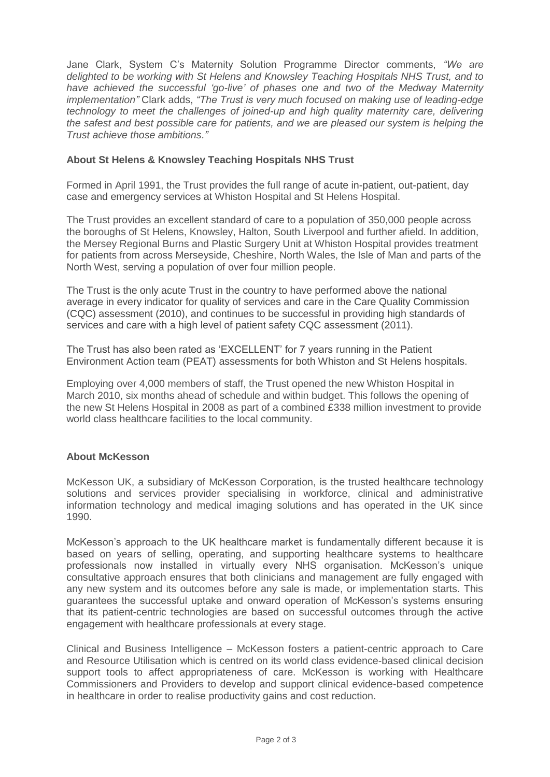Jane Clark, System C's Maternity Solution Programme Director comments, *"We are delighted to be working with St Helens and Knowsley Teaching Hospitals NHS Trust, and to have achieved the successful 'go-live' of phases one and two of the Medway Maternity implementation"* Clark adds, *"The Trust is very much focused on making use of leading-edge technology to meet the challenges of joined-up and high quality maternity care, delivering the safest and best possible care for patients, and we are pleased our system is helping the Trust achieve those ambitions."*

## **About St Helens & Knowsley Teaching Hospitals NHS Trust**

Formed in April 1991, the Trust provides the full range of acute in-patient, out-patient, day case and emergency services at Whiston Hospital and St Helens Hospital.

The Trust provides an excellent standard of care to a population of 350,000 people across the boroughs of St Helens, Knowsley, Halton, South Liverpool and further afield. In addition, the Mersey Regional Burns and Plastic Surgery Unit at Whiston Hospital provides treatment for patients from across Merseyside, Cheshire, North Wales, the Isle of Man and parts of the North West, serving a population of over four million people.

The Trust is the only acute Trust in the country to have performed above the national average in every indicator for quality of services and care in the Care Quality Commission (CQC) assessment (2010), and continues to be successful in providing high standards of services and care with a high level of patient safety CQC assessment (2011).

The Trust has also been rated as 'EXCELLENT' for 7 years running in the Patient Environment Action team (PEAT) assessments for both Whiston and St Helens hospitals.

Employing over 4,000 members of staff, the Trust opened the new Whiston Hospital in March 2010, six months ahead of schedule and within budget. This follows the opening of the new St Helens Hospital in 2008 as part of a combined £338 million investment to provide world class healthcare facilities to the local community.

#### **About McKesson**

McKesson UK, a subsidiary of McKesson Corporation, is the trusted healthcare technology solutions and services provider specialising in workforce, clinical and administrative information technology and medical imaging solutions and has operated in the UK since 1990.

McKesson's approach to the UK healthcare market is fundamentally different because it is based on years of selling, operating, and supporting healthcare systems to healthcare professionals now installed in virtually every NHS organisation. McKesson's unique consultative approach ensures that both clinicians and management are fully engaged with any new system and its outcomes before any sale is made, or implementation starts. This guarantees the successful uptake and onward operation of McKesson's systems ensuring that its patient-centric technologies are based on successful outcomes through the active engagement with healthcare professionals at every stage.

Clinical and Business Intelligence – McKesson fosters a patient-centric approach to Care and Resource Utilisation which is centred on its world class evidence-based clinical decision support tools to affect appropriateness of care. McKesson is working with Healthcare Commissioners and Providers to develop and support clinical evidence-based competence in healthcare in order to realise productivity gains and cost reduction.